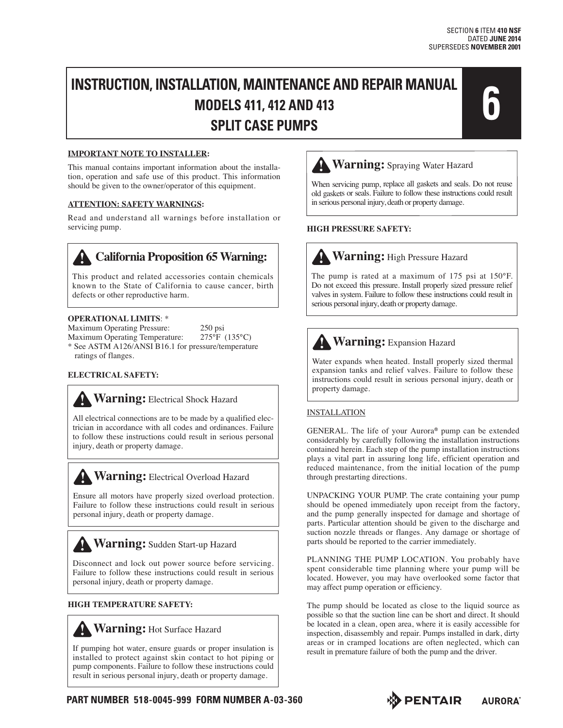## **INSTRUCTION, INSTALLATION, MAINTENANCE AND REPAIR MANUAL MODELS 411, 412 AND 413 SPLIT CASE PUMPS**<br>
SPLIT CASE PUMPS



#### **IMPORTANT NOTE TO INSTALLER:**

This manual contains important information about the installation, operation and safe use of this product. This information should be given to the owner/operator of this equipment.

#### **ATTENTION: SAFETY WARNINGS:**

Read and understand all warnings before installation or servicing pump.

This product and related accessories contain chemicals known to the State of California to cause cancer, birth defects or other reproductive harm.

#### **OPERATIONAL LIMITS**: \*

Maximum Operating Pressure: 250 psi<br>Maximum Operating Temperature: 275°F (135°C) Maximum Operating Temperature: \* See ASTM A126/ANSI B16.1 for pressure/temperature ratings of flanges.

#### **ELECTRICAL SAFETY:**

## **Warning: Electrical Shock Hazard**

All electrical connections are to be made by a qualified electrician in accordance with all codes and ordinances. Failure to follow these instructions could result in serious personal injury, death or property damage.

### **Warning: Electrical Overload Hazard**

Ensure all motors have properly sized overload protection. Failure to follow these instructions could result in serious personal injury, death or property damage.

## **Warning:** Sudden Start-up Hazard

Disconnect and lock out power source before servicing. Failure to follow these instructions could result in serious personal injury, death or property damage.

#### **HIGH TEMPERATURE SAFETY:**



If pumping hot water, ensure guards or proper insulation is installed to protect against skin contact to hot piping or pump components. Failure to follow these instructions could result in serious personal injury, death or property damage. **California Proposition 65 Warning:**<br>
This product and related accessories contain chemicals<br>
kefects or other reproductive harm.<br> **OPERATIONAL LIMITS:** \*<br>
Maximum Operating Persence:<br>  $259 \text{ psi}$ <br>
Maximum Operating Prosenc



When servicing pump, replace all gaskets and seals. Do not reuse old gaskets or seals. Failure to follow these instructions could result in serious personal injury, death or property damage.

#### **HIGH PRESSURE SAFETY:**

## **Warning:** High Pressure Hazard

The pump is rated at a maximum of 175 psi at 150°F. Do not exceed this pressure. Install properly sized pressure relief valves in system. Failure to follow these instructions could result in serious personal injury, death or property damage.

## **Warning:** Expansion Hazard

Water expands when heated. Install properly sized thermal expansion tanks and relief valves. Failure to follow these instructions could result in serious personal injury, death or property damage.

#### INSTALLATION

GENERAL. The life of your Aurora® pump can be extended considerably by carefully following the installation instructions contained herein. Each step of the pump installation instructions plays a vital part in assuring long life, efficient operation and reduced maintenance, from the initial location of the pump through prestarting directions.

UNPACKING YOUR PUMP. The crate containing your pump should be opened immediately upon receipt from the factory, and the pump generally inspected for damage and shortage of parts. Particular attention should be given to the discharge and suction nozzle threads or flanges. Any damage or shortage of parts should be reported to the carrier immediately.

PLANNING THE PUMP LOCATION. You probably have spent considerable time planning where your pump will be located. However, you may have overlooked some factor that may affect pump operation or efficiency.

The pump should be located as close to the liquid source as possible so that the suction line can be short and direct. It should be located in a clean, open area, where it is easily accessible for inspection, disassembly and repair. Pumps installed in dark, dirty areas or in cramped locations are often neglected, which can result in premature failure of both the pump and the driver.





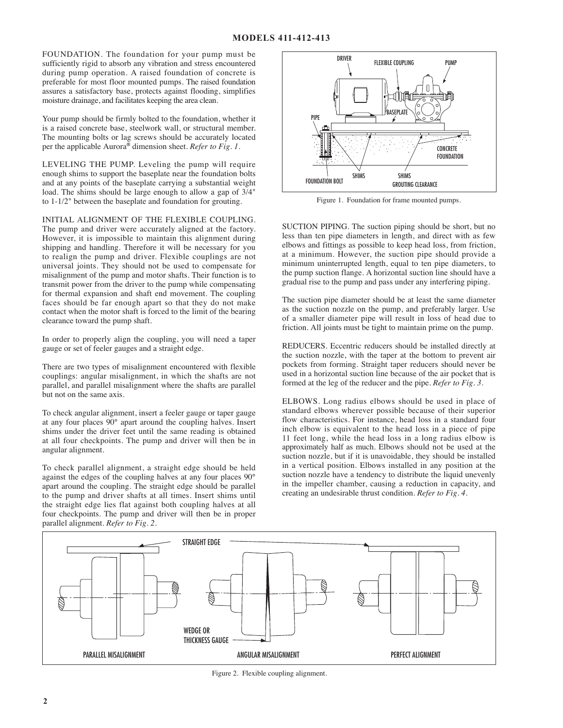FOUNDATION. The foundation for your pump must be sufficiently rigid to absorb any vibration and stress encountered during pump operation. A raised foundation of concrete is preferable for most floor mounted pumps. The raised foundation assures a satisfactory base, protects against flooding, simplifies moisture drainage, and facilitates keeping the area clean.

Your pump should be firmly bolted to the foundation, whether it is a raised concrete base, steelwork wall, or structural member. The mounting bolts or lag screws should be accurately located per the applicable Aurora® dimension sheet. *Refer to Fig. 1.*

LEVELING THE PUMP. Leveling the pump will require enough shims to support the baseplate near the foundation bolts and at any points of the baseplate carrying a substantial weight load. The shims should be large enough to allow a gap of 3/4" to 1-1/2" between the baseplate and foundation for grouting.

INITIAL ALIGNMENT OF THE FLEXIBLE COUPLING.

The pump and driver were accurately aligned at the factory. However, it is impossible to maintain this alignment during shipping and handling. Therefore it will be necessary for you to realign the pump and driver. Flexible couplings are not universal joints. They should not be used to compensate for misalignment of the pump and motor shafts. Their function is to transmit power from the driver to the pump while compensating for thermal expansion and shaft end movement. The coupling faces should be far enough apart so that they do not make contact when the motor shaft is forced to the limit of the bearing clearance toward the pump shaft.

In order to properly align the coupling, you will need a taper gauge or set of feeler gauges and a straight edge.

There are two types of misalignment encountered with flexible couplings: angular misalignment, in which the shafts are not parallel, and parallel misalignment where the shafts are parallel but not on the same axis.

To check angular alignment, insert a feeler gauge or taper gauge at any four places 90° apart around the coupling halves. Insert shims under the driver feet until the same reading is obtained at all four checkpoints. The pump and driver will then be in angular alignment.

To check parallel alignment, a straight edge should be held against the edges of the coupling halves at any four places 90° apart around the coupling. The straight edge should be parallel to the pump and driver shafts at all times. Insert shims until the straight edge lies flat against both coupling halves at all four checkpoints. The pump and driver will then be in proper parallel alignment. *Refer to Fig. 2.*



Figure 1. Foundation for frame mounted pumps.

SUCTION PIPING. The suction piping should be short, but no less than ten pipe diameters in length, and direct with as few elbows and fittings as possible to keep head loss, from friction, at a minimum. However, the suction pipe should provide a minimum uninterrupted length, equal to ten pipe diameters, to the pump suction flange. A horizontal suction line should have a gradual rise to the pump and pass under any interfering piping.

The suction pipe diameter should be at least the same diameter as the suction nozzle on the pump, and preferably larger. Use of a smaller diameter pipe will result in loss of head due to friction. All joints must be tight to maintain prime on the pump.

REDUCERS. Eccentric reducers should be installed directly at the suction nozzle, with the taper at the bottom to prevent air pockets from forming. Straight taper reducers should never be used in a horizontal suction line because of the air pocket that is formed at the leg of the reducer and the pipe. *Refer to Fig. 3.*

ELBOWS. Long radius elbows should be used in place of standard elbows wherever possible because of their superior flow characteristics. For instance, head loss in a standard four inch elbow is equivalent to the head loss in a piece of pipe 11 feet long, while the head loss in a long radius elbow is approximately half as much. Elbows should not be used at the suction nozzle, but if it is unavoidable, they should be installed in a vertical position. Elbows installed in any position at the suction nozzle have a tendency to distribute the liquid unevenly in the impeller chamber, causing a reduction in capacity, and creating an undesirable thrust condition. *Refer to Fig. 4.*



Figure 2. Flexible coupling alignment.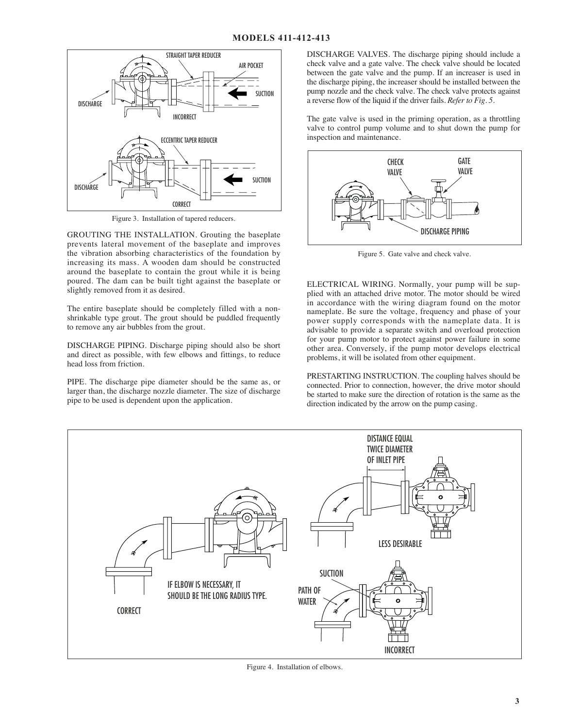

Figure 3. Installation of tapered reducers.

GROUTING THE INSTALLATION. Grouting the baseplate prevents lateral movement of the baseplate and improves the vibration absorbing characteristics of the foundation by increasing its mass. A wooden dam should be constructed around the baseplate to contain the grout while it is being poured. The dam can be built tight against the baseplate or slightly removed from it as desired.

The entire baseplate should be completely filled with a nonshrinkable type grout. The grout should be puddled frequently to remove any air bubbles from the grout.

DISCHARGE PIPING. Discharge piping should also be short and direct as possible, with few elbows and fittings, to reduce head loss from friction.

PIPE. The discharge pipe diameter should be the same as, or larger than, the discharge nozzle diameter. The size of discharge pipe to be used is dependent upon the application.

 DISCHARGE VALVES. The discharge piping should include a check valve and a gate valve. The check valve should be located between the gate valve and the pump. If an increaser is used in the discharge piping, the increaser should be installed between the pump nozzle and the check valve. The check valve protects against a reverse flow of the liquid if the driver fails. *Refer to Fig. 5.*

The gate valve is used in the priming operation, as a throttling valve to control pump volume and to shut down the pump for inspection and maintenance.



Figure 5. Gate valve and check valve.

ELECTRICAL WIRING. Normally, your pump will be supplied with an attached drive motor. The motor should be wired in accordance with the wiring diagram found on the motor nameplate. Be sure the voltage, frequency and phase of your power supply corresponds with the nameplate data. It is advisable to provide a separate switch and overload protection for your pump motor to protect against power failure in some other area. Conversely, if the pump motor develops electrical problems, it will be isolated from other equipment.

PRESTARTING INSTRUCTION. The coupling halves should be connected. Prior to connection, however, the drive motor should be started to make sure the direction of rotation is the same as the direction indicated by the arrow on the pump casing.



Figure 4. Installation of elbows.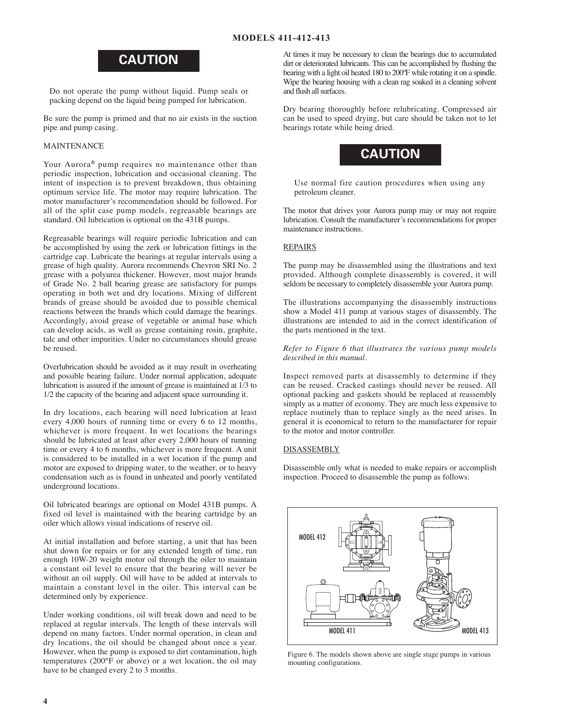## **CAUTION**

Do not operate the pump without liquid. Pump seals or packing depend on the liquid being pumped for lubrication.

Be sure the pump is primed and that no air exists in the suction pipe and pump casing.

#### MAINTENANCE

Your Aurora® pump requires no maintenance other than periodic inspection, lubrication and occasional cleaning. The intent of inspection is to prevent breakdown, thus obtaining optimum service life. The motor may require lubrication. The motor manufacturer's recommendation should be followed. For all of the split case pump models, regreasable bearings are standard. Oil lubrication is optional on the 431B pumps.

Regreasable bearings will require periodic lubrication and can be accomplished by using the zerk or lubrication fittings in the cartridge cap. Lubricate the bearings at regular intervals using a grease of high quality. Aurora recommends Chevron SRI No. 2 grease with a polyurea thickener. However, most major brands of Grade No. 2 ball bearing grease are satisfactory for pumps operating in both wet and dry locations. Mixing of different brands of grease should be avoided due to possible chemical reactions between the brands which could damage the bearings. Accordingly, avoid grease of vegetable or animal base which can develop acids, as well as grease containing rosin, graphite, talc and other impurities. Under no circumstances should grease be reused.

Overlubrication should be avoided as it may result in overheating and possible bearing failure. Under normal application, adequate lubrication is assured if the amount of grease is maintained at 1/3 to 1/2 the capacity of the bearing and adjacent space surrounding it.

In dry locations, each bearing will need lubrication at least every 4,000 hours of running time or every 6 to 12 months, whichever is more frequent. In wet locations the bearings should be lubricated at least after every 2,000 hours of running time or every 4 to 6 months, whichever is more frequent. A unit is considered to be installed in a wet location if the pump and motor are exposed to dripping water, to the weather, or to heavy condensation such as is found in unheated and poorly ventilated underground locations.

Oil lubricated bearings are optional on Model 431B pumps. A fixed oil level is maintained with the bearing cartridge by an oiler which allows visual indications of reserve oil.

At initial installation and before starting, a unit that has been shut down for repairs or for any extended length of time, run enough 10W-20 weight motor oil through the oiler to maintain a constant oil level to ensure that the bearing will never be without an oil supply. Oil will have to be added at intervals to maintain a constant level in the oiler. This interval can be determined only by experience.

Under working conditions, oil will break down and need to be replaced at regular intervals. The length of these intervals will depend on many factors. Under normal operation, in clean and dry locations, the oil should be changed about once a year. However, when the pump is exposed to dirt contamination, high temperatures (200°F or above) or a wet location, the oil may have to be changed every 2 to 3 months.

At times it may be necessary to clean the bearings due to accumulated dirt or deteriorated lubricants. This can be accomplished by flushing the bearing with a light oil heated 180 to 200ºF while rotating it on a spindle. Wipe the bearing housing with a clean rag soaked in a cleaning solvent and flush all surfaces.

Dry bearing thoroughly before relubricating. Compressed air can be used to speed drying, but care should be taken not to let bearings rotate while being dried.



Use normal fire caution procedures when using any petroleum cleaner.

The motor that drives your Aurora pump may or may not require lubrication. Consult the manufacturer's recommendations for proper maintenance instructions.

#### **REPAIRS**

The pump may be disassembled using the illustrations and text provided. Although complete disassembly is covered, it will seldom be necessary to completely disassemble your Aurora pump.

The illustrations accompanying the disassembly instructions show a Model 411 pump at various stages of disassembly. The illustrations are intended to aid in the correct identification of the parts mentioned in the text.

*Refer to Figure 6 that illustrates the various pump models described in this manual.*

Inspect removed parts at disassembly to determine if they can be reused. Cracked castings should never be reused. All optional packing and gaskets should be replaced at reassembly simply as a matter of economy. They are much less expensive to replace routinely than to replace singly as the need arises. In general it is economical to return to the manufacturer for repair to the motor and motor controller.

#### **DISASSEMBLY**

Disassemble only what is needed to make repairs or accomplish inspection. Proceed to disassemble the pump as follows:



Figure 6. The models shown above are single stage pumps in various mounting configurations.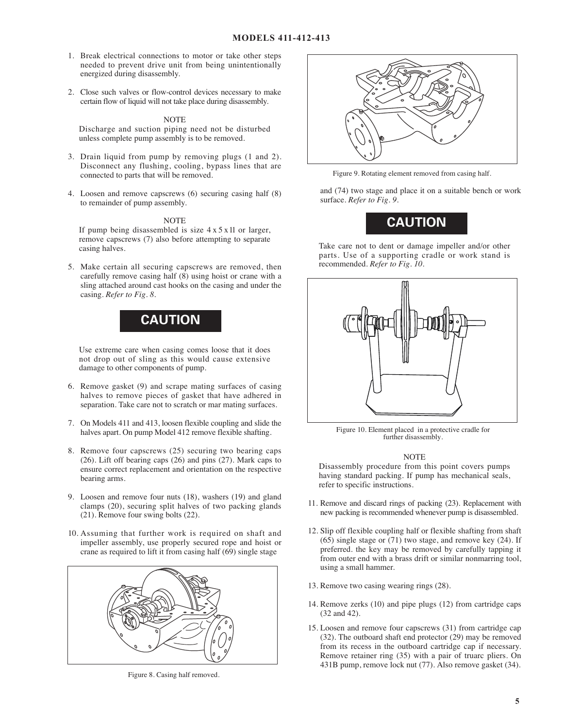- 1. Break electrical connections to motor or take other steps needed to prevent drive unit from being unintentionally energized during disassembly.
- 2. Close such valves or flow-control devices necessary to make certain flow of liquid will not take place during disassembly.

#### NOTE

Discharge and suction piping need not be disturbed unless complete pump assembly is to be removed.

- 3. Drain liquid from pump by removing plugs (1 and 2). Disconnect any flushing, cooling, bypass lines that are connected to parts that will be removed.
- 4. Loosen and remove capscrews (6) securing casing half (8) to remainder of pump assembly.

#### NOTE

If pump being disassembled is size 4 x 5 x 11 or larger, remove capscrews (7) also before attempting to separate casing halves.

5. Make certain all securing capscrews are removed, then carefully remove casing half (8) using hoist or crane with a sling attached around cast hooks on the casing and under the casing. *Refer to Fig. 8.*



Use extreme care when casing comes loose that it does not drop out of sling as this would cause extensive damage to other components of pump.

- 6. Remove gasket (9) and scrape mating surfaces of casing halves to remove pieces of gasket that have adhered in separation. Take care not to scratch or mar mating surfaces.
- 7. On Models 411 and 413, loosen flexible coupling and slide the halves apart. On pump Model 412 remove flexible shafting.
- 8. Remove four capscrews (25) securing two bearing caps (26). Lift off bearing caps (26) and pins (27). Mark caps to ensure correct replacement and orientation on the respective bearing arms.
- 9. Loosen and remove four nuts (18), washers (19) and gland clamps (20), securing split halves of two packing glands (21). Remove four swing bolts (22).
- 10. Assuming that further work is required on shaft and impeller assembly, use properly secured rope and hoist or crane as required to lift it from casing half  $(69)$  single stage



Figure 8. Casing half removed.



Figure 9. Rotating element removed from casing half.

and (74) two stage and place it on a suitable bench or work surface. *Refer to Fig. 9.*



Take care not to dent or damage impeller and/or other parts. Use of a supporting cradle or work stand is recommended. *Refer to Fig. 10.*



Figure 10. Element placed in a protective cradle for further disassembly.

#### **NOTE**

Disassembly procedure from this point covers pumps having standard packing. If pump has mechanical seals, refer to specific instructions.

- 11. Remove and discard rings of packing (23). Replacement with new packing is recommended whenever pump is disassembled.
- 12. Slip off flexible coupling half or flexible shafting from shaft  $(65)$  single stage or  $(71)$  two stage, and remove key  $(24)$ . If preferred. the key may be removed by carefully tapping it from outer end with a brass drift or similar nonmarring tool, using a small hammer.
- 13. Remove two casing wearing rings (28).
- 14. Remove zerks (10) and pipe plugs (12) from cartridge caps (32 and 42).
- 15. Loosen and remove four capscrews (31) from cartridge cap (32). The outboard shaft end protector (29) may be removed from its recess in the outboard cartridge cap if necessary. Remove retainer ring (35) with a pair of truarc pliers. On 431B pump, remove lock nut (77). Also remove gasket (34).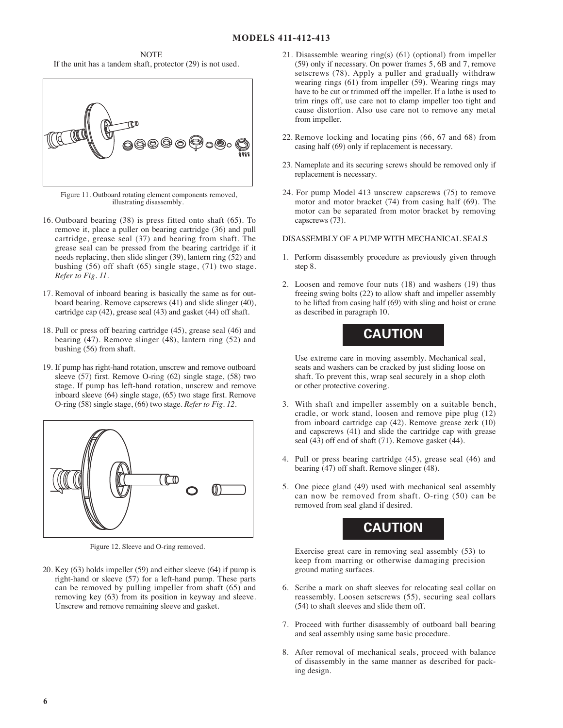NOTE If the unit has a tandem shaft, protector (29) is not used.



Figure 11. Outboard rotating element components removed, illustrating disassembly.

- 16. Outboard bearing (38) is press fitted onto shaft (65). To remove it, place a puller on bearing cartridge (36) and pull cartridge, grease seal (37) and bearing from shaft. The grease seal can be pressed from the bearing cartridge if it needs replacing, then slide slinger (39), lantern ring (52) and bushing (56) off shaft (65) single stage, (71) two stage. *Refer to Fig. 11.*
- 17. Removal of inboard bearing is basically the same as for outboard bearing. Remove capscrews (41) and slide slinger (40), cartridge cap (42), grease seal (43) and gasket (44) off shaft.
- 18. Pull or press off bearing cartridge (45), grease seal (46) and bearing (47). Remove slinger (48), lantern ring (52) and bushing (56) from shaft.
- 19. If pump has right-hand rotation, unscrew and remove outboard sleeve (57) first. Remove O-ring (62) single stage, (58) two stage. If pump has left-hand rotation, unscrew and remove inboard sleeve (64) single stage, (65) two stage first. Remove O-ring (58) single stage, (66) two stage. *Refer to Fig. 12.*



Figure 12. Sleeve and O-ring removed.

20. Key (63) holds impeller (59) and either sleeve (64) if pump is right-hand or sleeve (57) for a left-hand pump. These parts can be removed by pulling impeller from shaft (65) and removing key (63) from its position in keyway and sleeve. Unscrew and remove remaining sleeve and gasket.

- 21. Disassemble wearing ring(s) (61) (optional) from impeller (59) only if necessary. On power frames 5, 6B and 7, remove setscrews (78). Apply a puller and gradually withdraw wearing rings (61) from impeller (59). Wearing rings may have to be cut or trimmed off the impeller. If a lathe is used to trim rings off, use care not to clamp impeller too tight and cause distortion. Also use care not to remove any metal from impeller.
- 22. Remove locking and locating pins (66, 67 and 68) from casing half (69) only if replacement is necessary.
- 23. Nameplate and its securing screws should be removed only if replacement is necessary.
- 24. For pump Model 413 unscrew capscrews (75) to remove motor and motor bracket (74) from casing half (69). The motor can be separated from motor bracket by removing capscrews (73).

#### DISASSEMBLY OF A PUMP WITH MECHANICAL SEALS

- 1. Perform disassembly procedure as previously given through step 8.
- 2. Loosen and remove four nuts (18) and washers (19) thus freeing swing bolts (22) to allow shaft and impeller assembly to be lifted from casing half (69) with sling and hoist or crane as described in paragraph 10.

## **CAUTION**

Use extreme care in moving assembly. Mechanical seal, seats and washers can be cracked by just sliding loose on shaft. To prevent this, wrap seal securely in a shop cloth or other protective covering.

- 3. With shaft and impeller assembly on a suitable bench, cradle, or work stand, loosen and remove pipe plug (12) from inboard cartridge cap (42). Remove grease zerk (10) and capscrews (41) and slide the cartridge cap with grease seal (43) off end of shaft (71). Remove gasket (44).
- 4. Pull or press bearing cartridge (45), grease seal (46) and bearing (47) off shaft. Remove slinger (48).
- 5. One piece gland (49) used with mechanical seal assembly can now be removed from shaft. O-ring (50) can be removed from seal gland if desired.



Exercise great care in removing seal assembly (53) to keep from marring or otherwise damaging precision ground mating surfaces.

- 6. Scribe a mark on shaft sleeves for relocating seal collar on reassembly. Loosen setscrews (55), securing seal collars (54) to shaft sleeves and slide them off.
- 7. Proceed with further disassembly of outboard ball bearing and seal assembly using same basic procedure.
- 8. After removal of mechanical seals, proceed with balance of disassembly in the same manner as described for packing design.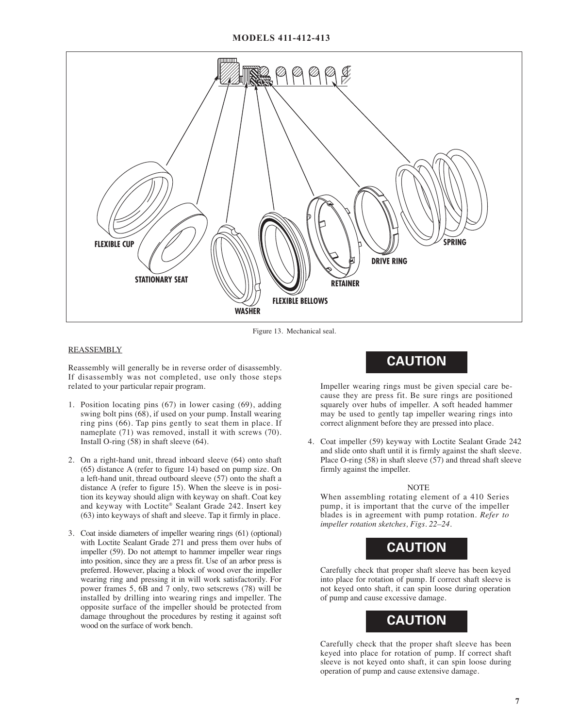#### **MODELS 411-412-413**



Figure 13. Mechanical seal.

#### REASSEMBLY

Reassembly will generally be in reverse order of disassembly. If disassembly was not completed, use only those steps related to your particular repair program.

- 1. Position locating pins (67) in lower casing (69), adding swing bolt pins (68), if used on your pump. Install wearing ring pins (66). Tap pins gently to seat them in place. If nameplate (71) was removed, install it with screws (70). Install O-ring (58) in shaft sleeve (64).
- 2. On a right-hand unit, thread inboard sleeve (64) onto shaft (65) distance A (refer to figure 14) based on pump size. On a left-hand unit, thread outboard sleeve (57) onto the shaft a distance A (refer to figure 15). When the sleeve is in position its keyway should align with keyway on shaft. Coat key and keyway with Loctite® Sealant Grade 242. Insert key (63) into keyways of shaft and sleeve. Tap it firmly in place.
- 3. Coat inside diameters of impeller wearing rings (61) (optional) with Loctite Sealant Grade 271 and press them over hubs of impeller (59). Do not attempt to hammer impeller wear rings into position, since they are a press fit. Use of an arbor press is preferred. However, placing a block of wood over the impeller wearing ring and pressing it in will work satisfactorily. For power frames 5, 6B and 7 only, two setscrews (78) will be installed by drilling into wearing rings and impeller. The opposite surface of the impeller should be protected from damage throughout the procedures by resting it against soft wood on the surface of work bench.

## **CAUTION**

Impeller wearing rings must be given special care because they are press fit. Be sure rings are positioned squarely over hubs of impeller. A soft headed hammer may be used to gently tap impeller wearing rings into correct alignment before they are pressed into place.

4. Coat impeller (59) keyway with Loctite Sealant Grade 242 and slide onto shaft until it is firmly against the shaft sleeve. Place O-ring (58) in shaft sleeve (57) and thread shaft sleeve firmly against the impeller.

#### NOTE

When assembling rotating element of a 410 Series pump, it is important that the curve of the impeller blades is in agreement with pump rotation. *Refer to impeller rotation sketches, Figs. 22–24.*



Carefully check that proper shaft sleeve has been keyed into place for rotation of pump. If correct shaft sleeve is not keyed onto shaft, it can spin loose during operation of pump and cause excessive damage.



Carefully check that the proper shaft sleeve has been keyed into place for rotation of pump. If correct shaft sleeve is not keyed onto shaft, it can spin loose during operation of pump and cause extensive damage.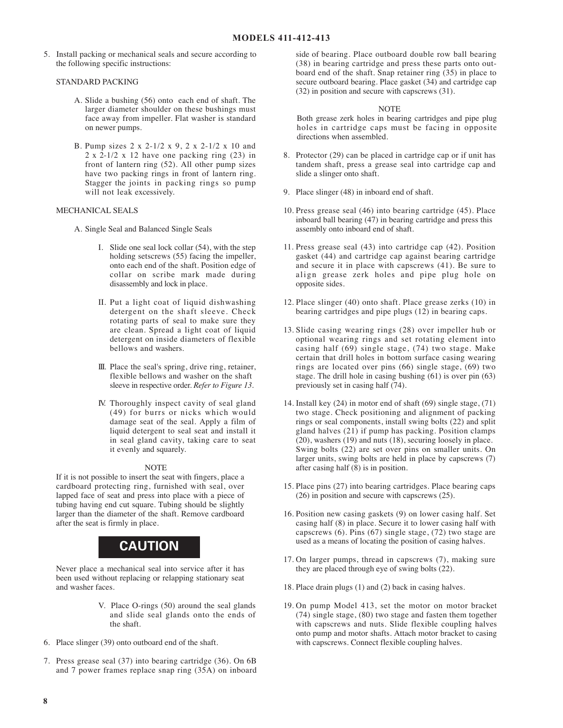5. Install packing or mechanical seals and secure according to the following specific instructions:

#### STANDARD PACKING

- A. Slide a bushing (56) onto each end of shaft. The larger diameter shoulder on these bushings must face away from impeller. Flat washer is standard on newer pumps.
- B. Pump sizes 2 x 2-1/2 x 9, 2 x 2-1/2 x 10 and  $2 \times 2 - 1/2 \times 12$  have one packing ring (23) in front of lantern ring (52). All other pump sizes have two packing rings in front of lantern ring. Stagger the joints in packing rings so pump will not leak excessively.

#### MECHANICAL SEALS

- A. Single Seal and Balanced Single Seals
	- I. Slide one seal lock collar (54), with the step holding setscrews (55) facing the impeller, onto each end of the shaft. Position edge of collar on scribe mark made during disassembly and lock in place.
	- II. Put a light coat of liquid dishwashing detergent on the shaft sleeve. Check rotating parts of seal to make sure they are clean. Spread a light coat of liquid detergent on inside diameters of flexible bellows and washers.
	- III. Place the seal's spring, drive ring, retainer, flexible bellows and washer on the shaft sleeve in respective order. *Refer to Figure 13.*
	- IV. Thoroughly inspect cavity of seal gland (49) for burrs or nicks which would damage seat of the seal. Apply a film of liquid detergent to seal seat and install it in seal gland cavity, taking care to seat it evenly and squarely.

#### NOTE

If it is not possible to insert the seat with fingers, place a cardboard protecting ring, furnished with seal, over lapped face of seat and press into place with a piece of tubing having end cut square. Tubing should be slightly larger than the diameter of the shaft. Remove cardboard after the seat is firmly in place.

## **CAUTION**

Never place a mechanical seal into service after it has been used without replacing or relapping stationary seat and washer faces.

- V. Place O-rings (50) around the seal glands and slide seal glands onto the ends of the shaft.
- 6. Place slinger (39) onto outboard end of the shaft.
- 7. Press grease seal (37) into bearing cartridge (36). On 6B and 7 power frames replace snap ring (35A) on inboard

side of bearing. Place outboard double row ball bearing (38) in bearing cartridge and press these parts onto outboard end of the shaft. Snap retainer ring (35) in place to secure outboard bearing. Place gasket (34) and cartridge cap (32) in position and secure with capscrews (31).

#### NOTE

Both grease zerk holes in bearing cartridges and pipe plug holes in cartridge caps must be facing in opposite directions when assembled.

- 8. Protector (29) can be placed in cartridge cap or if unit has tandem shaft, press a grease seal into cartridge cap and slide a slinger onto shaft.
- 9. Place slinger (48) in inboard end of shaft.
- 10. Press grease seal (46) into bearing cartridge (45). Place inboard ball bearing (47) in bearing cartridge and press this assembly onto inboard end of shaft.
- 11. Press grease seal (43) into cartridge cap (42). Position gasket (44) and cartridge cap against bearing cartridge and secure it in place with capscrews (41). Be sure to align grease zerk holes and pipe plug hole on opposite sides.
- 12. Place slinger (40) onto shaft. Place grease zerks (10) in bearing cartridges and pipe plugs (12) in bearing caps.
- 13. Slide casing wearing rings (28) over impeller hub or optional wearing rings and set rotating element into casing half (69) single stage, (74) two stage. Make certain that drill holes in bottom surface casing wearing rings are located over pins (66) single stage, (69) two stage. The drill hole in casing bushing (61) is over pin (63) previously set in casing half (74).
- 14. Install key (24) in motor end of shaft (69) single stage, (71) two stage. Check positioning and alignment of packing rings or seal components, install swing bolts (22) and split gland halves (21) if pump has packing. Position clamps (20), washers (19) and nuts (18), securing loosely in place. Swing bolts (22) are set over pins on smaller units. On larger units, swing bolts are held in place by capscrews (7) after casing half (8) is in position.
- 15. Place pins (27) into bearing cartridges. Place bearing caps (26) in position and secure with capscrews (25).
- 16. Position new casing gaskets (9) on lower casing half. Set casing half (8) in place. Secure it to lower casing half with capscrews (6). Pins (67) single stage, (72) two stage are used as a means of locating the position of casing halves.
- 17. On larger pumps, thread in capscrews (7), making sure they are placed through eye of swing bolts (22).
- 18. Place drain plugs (1) and (2) back in casing halves.
- 19. On pump Model 413, set the motor on motor bracket (74) single stage, (80) two stage and fasten them together with capscrews and nuts. Slide flexible coupling halves onto pump and motor shafts. Attach motor bracket to casing with capscrews. Connect flexible coupling halves.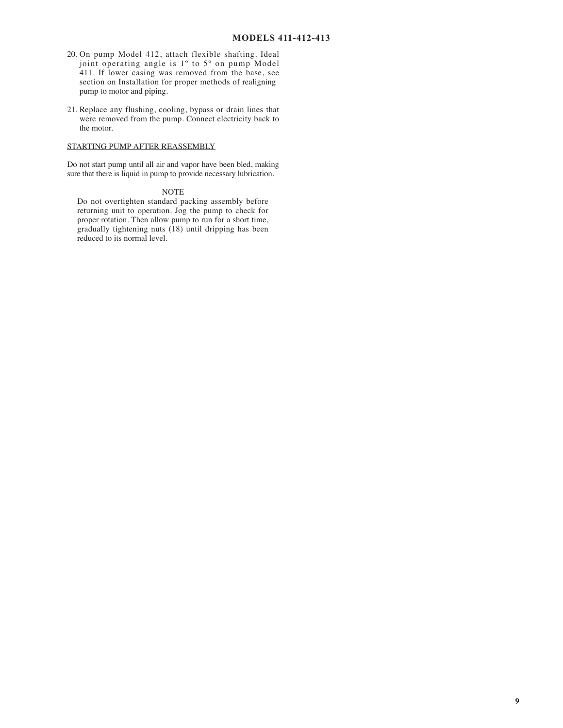- 20. On pump Model 412, attach flexible shafting. Ideal joint operating angle is 1º to 5º on pump Model 411. If lower casing was removed from the base, see section on Installation for proper methods of realigning pump to motor and piping.
- 21. Replace any flushing, cooling, bypass or drain lines that were removed from the pump. Connect electricity back to the motor.

#### STARTING PUMP AFTER REASSEMBLY

Do not start pump until all air and vapor have been bled, making sure that there is liquid in pump to provide necessary lubrication.

#### NOTE

Do not overtighten standard packing assembly before returning unit to operation. Jog the pump to check for proper rotation. Then allow pump to run for a short time, gradually tightening nuts (18) until dripping has been reduced to its normal level.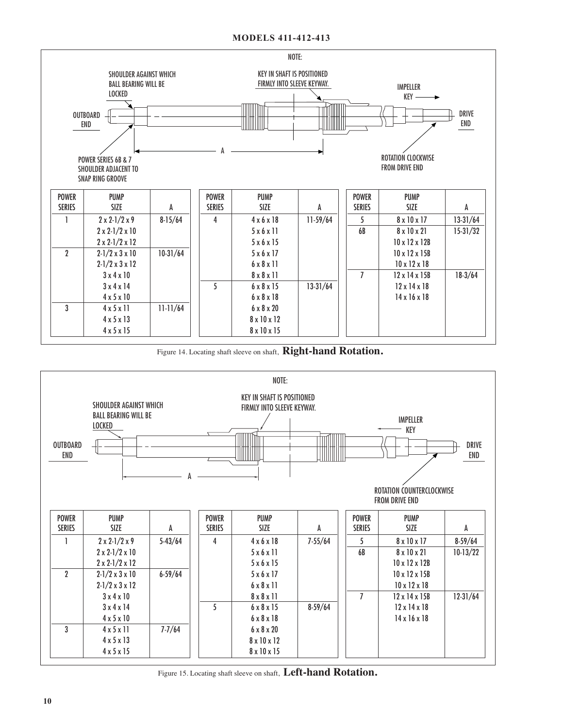

Figure 14. Locating shaft sleeve on shaft, **Right-hand Rotation.**



Figure 15. Locating shaft sleeve on shaft, **Left-hand Rotation.**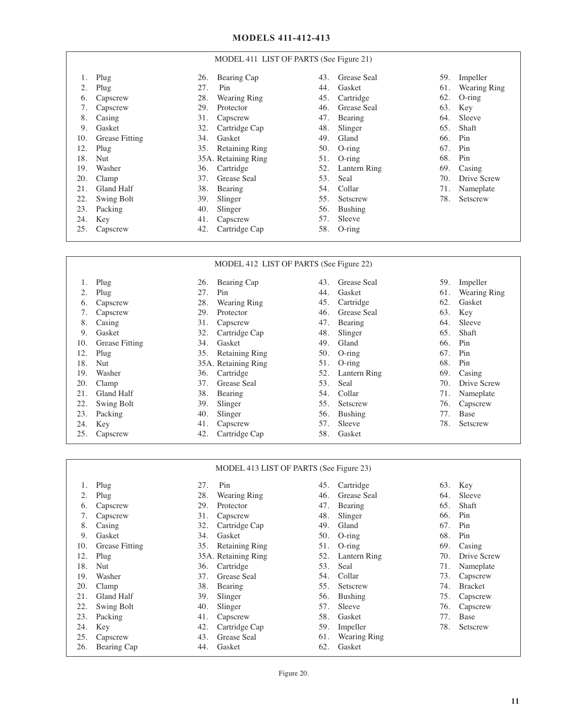#### MODEL 411 LIST OF PARTS (See Figure 21)

|     | Plug                  | 26. | Bearing Cap         | 43. | Grease Seal  | 59. | Impeller     |
|-----|-----------------------|-----|---------------------|-----|--------------|-----|--------------|
|     | Plug                  | 27. | Pin                 | 44. | Gasket       | 61. | Wearing Ring |
| 6.  | Capscrew              | 28. | <b>Wearing Ring</b> | 45. | Cartridge    | 62. | $O$ -ring    |
| 7.  | Capscrew              | 29. | Protector           | 46. | Grease Seal  | 63. | Key          |
| 8.  | Casing                | 31. | Capscrew            | 47. | Bearing      | 64. | Sleeve       |
| 9.  | Gasket                | 32. | Cartridge Cap       | 48. | Slinger      | 65. | Shaft        |
| 10. | <b>Grease Fitting</b> | 34. | Gasket              | 49. | Gland        | 66. | Pin          |
| 12. | Plug                  |     | 35. Retaining Ring  | 50. | $O$ -ring    | 67. | Pin          |
| 18. | Nut                   |     | 35A. Retaining Ring | 51. | $O$ -ring    | 68. | Pin          |
| 19. | Washer                | 36. | Cartridge           | 52. | Lantern Ring | 69. | Casing       |
| 20. | Clamp                 | 37. | Grease Seal         | 53. | Seal         | 70. | Drive Screw  |
| 21. | Gland Half            | 38. | Bearing             | 54. | Collar       | 71. | Nameplate    |
| 22. | Swing Bolt            | 39. | Slinger             | 55. | Setscrew     | 78. | Setscrew     |
| 23. | Packing               | 40. | Slinger             | 56. | Bushing      |     |              |
| 24. | Key                   | 41. | Capscrew            | 57. | Sleeve       |     |              |
| 25. | Capscrew              | 42. | Cartridge Cap       | 58. | $O$ -ring    |     |              |

#### 1. Plug 2. Plug 6. Capscrew 7. Capscrew 8. Casing 9. Gasket 10. Grease Fitting 12. Plug 18. Nut 19. Washer 20. Clamp 21. Gland Half 22. Swing Bolt 23. Packing 24. Key 25. Capscrew 26. Bearing Cap 27. Pin 28. Wearing Ring 29. Protector 31. Capscrew 32. Cartridge Cap 34. Gasket 35. Retaining Ring 35A. Retaining Ring 36. Cartridge 37. Grease Seal 38. Bearing 39. Slinger 40. Slinger 41. Capscrew 42. Cartridge Cap 43. Grease Seal 44. Gasket 45. Cartridge 46. Grease Seal 47. Bearing 48. Slinger 49. Gland 50. O-ring 51. O-ring 52. Lantern Ring 53. Seal 54. Collar 55. Setscrew 56. Bushing 57. Sleeve 58. Gasket 59. Impeller 61. Wearing Ring 62. Gasket 63. Key 64. Sleeve 65. Shaft 66. Pin 67. Pin 68. Pin 69. Casing 70. Drive Screw<br>71. Nameplate Nameplate 76. Capscrew 77. Base 78. Setscrew MODEL 412 LIST OF PARTS (See Figure 22)

| MODEL 413 LIST OF PARTS (See Figure 23) |                       |     |                       |     |                     |     |                |  |  |  |
|-----------------------------------------|-----------------------|-----|-----------------------|-----|---------------------|-----|----------------|--|--|--|
|                                         | Plug                  | 27. | Pin                   | 45. | Cartridge           | 63. | Key            |  |  |  |
|                                         | Plug                  | 28. | Wearing Ring          | 46. | Grease Seal         | 64. | Sleeve         |  |  |  |
| 6.                                      | Capscrew              | 29. | Protector             | 47. | Bearing             | 65. | Shaft          |  |  |  |
|                                         | Capscrew              | 31. | Capscrew              | 48. | Slinger             | 66. | Pin            |  |  |  |
| 8.                                      | Casing                | 32. | Cartridge Cap         | 49. | Gland               | 67. | Pin            |  |  |  |
| 9.                                      | Gasket                | 34. | Gasket                | 50. | $O$ -ring           | 68. | Pin            |  |  |  |
| 10.                                     | <b>Grease Fitting</b> | 35. | <b>Retaining Ring</b> | 51. | $O$ -ring           | 69  | Casing         |  |  |  |
| 12.                                     | Plug                  |     | 35A. Retaining Ring   | 52. | Lantern Ring        | 70. | Drive Screw    |  |  |  |
| 18.                                     | Nut                   | 36. | Cartridge             | 53. | Seal                | 71. | Nameplate      |  |  |  |
| 19.                                     | Washer                | 37. | Grease Seal           | 54. | Collar              | 73. | Capscrew       |  |  |  |
| 20.                                     | Clamp                 | 38. | Bearing               | 55. | Setscrew            | 74. | <b>Bracket</b> |  |  |  |
| 21                                      | <b>Gland Half</b>     | 39. | Slinger               | 56. | <b>Bushing</b>      | 75. | Capscrew       |  |  |  |
| 22.                                     | <b>Swing Bolt</b>     | 40. | Slinger               | 57. | Sleeve              | 76. | Capscrew       |  |  |  |
| 23.                                     | Packing               | 41. | Capscrew              | 58. | Gasket              | 77. | Base           |  |  |  |
| 24.                                     | Key                   | 42. | Cartridge Cap         | 59. | Impeller            | 78  | Setscrew       |  |  |  |
| 25.                                     | Capscrew              | 43. | Grease Seal           | 61. | <b>Wearing Ring</b> |     |                |  |  |  |
| 26.                                     | Bearing Cap           | 44. | Gasket                | 62. | Gasket              |     |                |  |  |  |

Figure 20.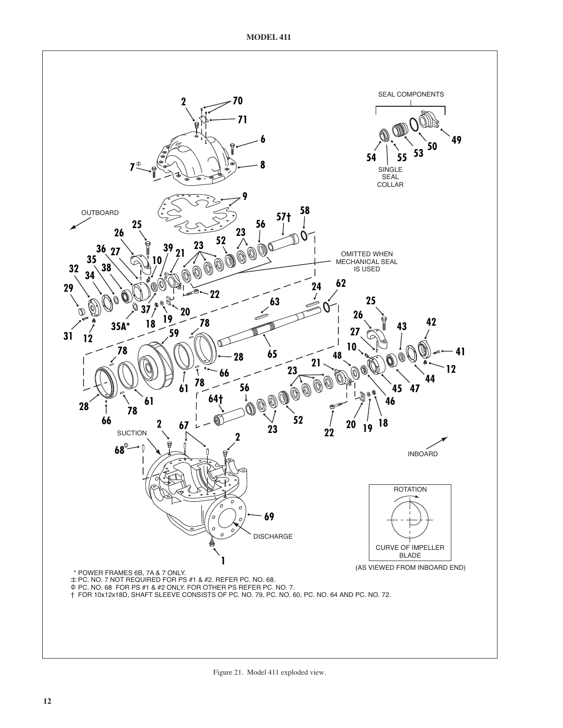

Figure 21. Model 411 exploded view.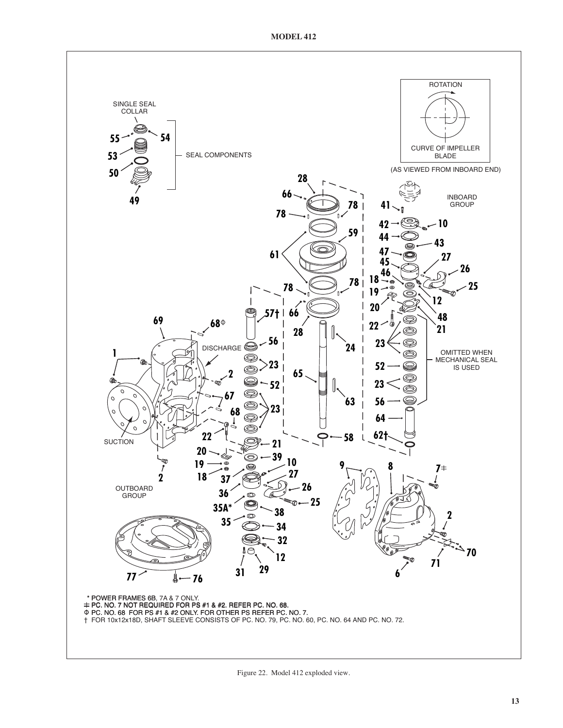

Figure 22. Model 412 exploded view.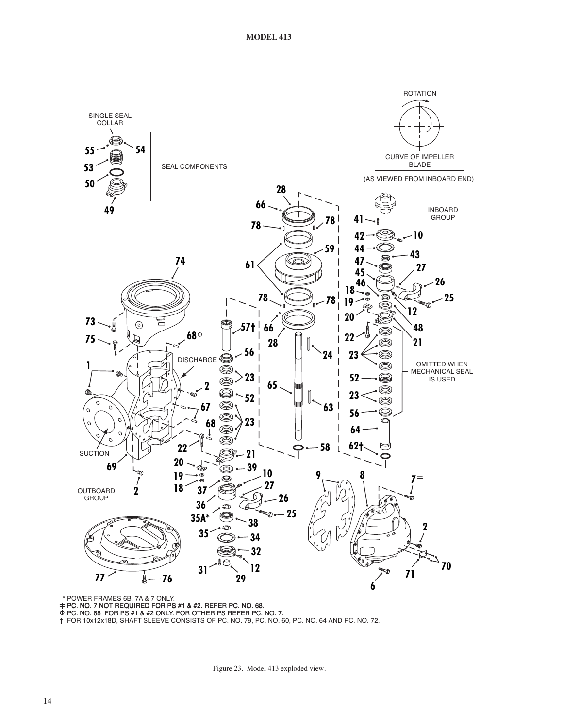**MODEL 413**



Figure 23. Model 413 exploded view.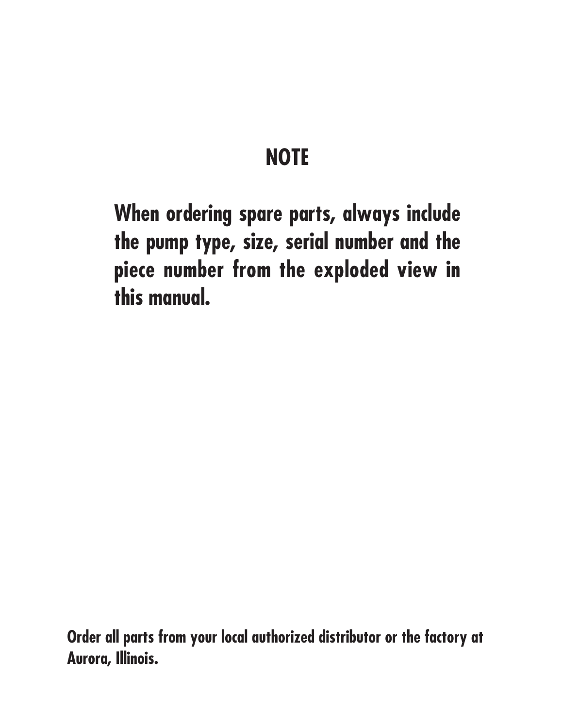# **NOTE**

**When ordering spare parts, always include the pump type, size, serial number and the piece number from the exploded view in this manual.**

**Order all parts from your local authorized distributor or the factory at Aurora, Illinois.**